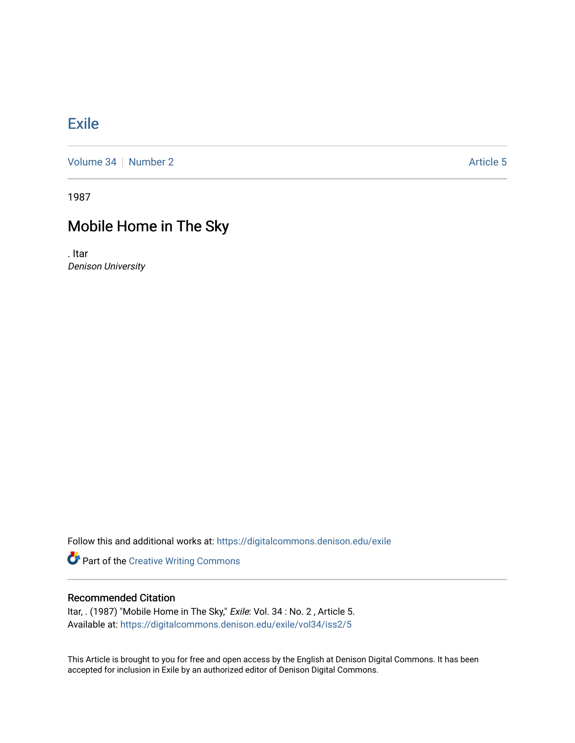## [Exile](https://digitalcommons.denison.edu/exile)

[Volume 34](https://digitalcommons.denison.edu/exile/vol34) [Number 2](https://digitalcommons.denison.edu/exile/vol34/iss2) Article 5

1987

# Mobile Home in The Sky

. Itar Denison University

Follow this and additional works at: [https://digitalcommons.denison.edu/exile](https://digitalcommons.denison.edu/exile?utm_source=digitalcommons.denison.edu%2Fexile%2Fvol34%2Fiss2%2F5&utm_medium=PDF&utm_campaign=PDFCoverPages) 

Part of the [Creative Writing Commons](http://network.bepress.com/hgg/discipline/574?utm_source=digitalcommons.denison.edu%2Fexile%2Fvol34%2Fiss2%2F5&utm_medium=PDF&utm_campaign=PDFCoverPages) 

### Recommended Citation

Itar, . (1987) "Mobile Home in The Sky," Exile: Vol. 34 : No. 2 , Article 5. Available at: [https://digitalcommons.denison.edu/exile/vol34/iss2/5](https://digitalcommons.denison.edu/exile/vol34/iss2/5?utm_source=digitalcommons.denison.edu%2Fexile%2Fvol34%2Fiss2%2F5&utm_medium=PDF&utm_campaign=PDFCoverPages) 

This Article is brought to you for free and open access by the English at Denison Digital Commons. It has been accepted for inclusion in Exile by an authorized editor of Denison Digital Commons.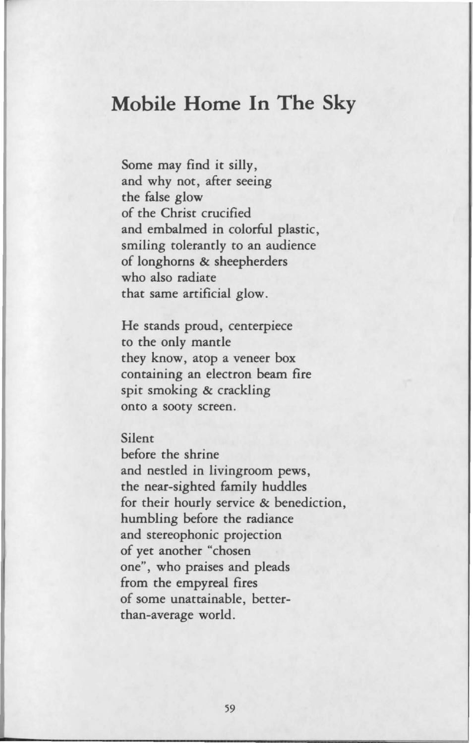### **Mobile Home In The Sky**

Some may find it silly, and why not, after seeing the false glow of the Christ crucified and embalmed in colorful plastic, smiling tolerantly to an audience of longhorns & sheepherders who also radiate that same artificial glow.

He stands proud, centerpiece to the only mantle they know, atop a veneer box containing an electron beam fire spit smoking & crackling onto a sooty screen.

#### Silent

before the shrine and nestled in livingroom pews, the near-sighted family huddles for their hourly service & benediction, humbling before the radiance and stereophonic projection of yet another "chosen one", who praises and pleads from the empyreal fires of some unattainable, betterthan-average world .